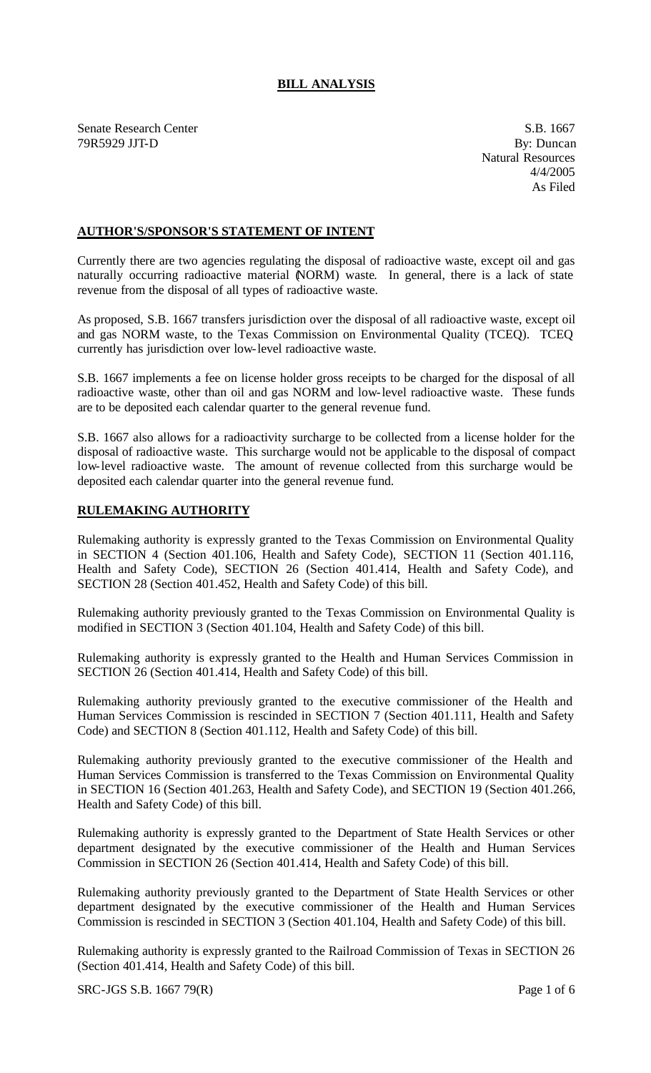# **BILL ANALYSIS**

Senate Research Center S.B. 1667 79R5929 JJT-D By: Buncan

Natural Resources 4/4/2005 As Filed

### **AUTHOR'S/SPONSOR'S STATEMENT OF INTENT**

Currently there are two agencies regulating the disposal of radioactive waste, except oil and gas naturally occurring radioactive material (NORM) waste. In general, there is a lack of state revenue from the disposal of all types of radioactive waste.

As proposed, S.B. 1667 transfers jurisdiction over the disposal of all radioactive waste, except oil and gas NORM waste, to the Texas Commission on Environmental Quality (TCEQ). TCEQ currently has jurisdiction over low-level radioactive waste.

S.B. 1667 implements a fee on license holder gross receipts to be charged for the disposal of all radioactive waste, other than oil and gas NORM and low-level radioactive waste. These funds are to be deposited each calendar quarter to the general revenue fund.

S.B. 1667 also allows for a radioactivity surcharge to be collected from a license holder for the disposal of radioactive waste. This surcharge would not be applicable to the disposal of compact low-level radioactive waste. The amount of revenue collected from this surcharge would be deposited each calendar quarter into the general revenue fund.

#### **RULEMAKING AUTHORITY**

Rulemaking authority is expressly granted to the Texas Commission on Environmental Quality in SECTION 4 (Section 401.106, Health and Safety Code), SECTION 11 (Section 401.116, Health and Safety Code), SECTION 26 (Section 401.414, Health and Safety Code), and SECTION 28 (Section 401.452, Health and Safety Code) of this bill.

Rulemaking authority previously granted to the Texas Commission on Environmental Quality is modified in SECTION 3 (Section 401.104, Health and Safety Code) of this bill.

Rulemaking authority is expressly granted to the Health and Human Services Commission in SECTION 26 (Section 401.414, Health and Safety Code) of this bill.

Rulemaking authority previously granted to the executive commissioner of the Health and Human Services Commission is rescinded in SECTION 7 (Section 401.111, Health and Safety Code) and SECTION 8 (Section 401.112, Health and Safety Code) of this bill.

Rulemaking authority previously granted to the executive commissioner of the Health and Human Services Commission is transferred to the Texas Commission on Environmental Quality in SECTION 16 (Section 401.263, Health and Safety Code), and SECTION 19 (Section 401.266, Health and Safety Code) of this bill.

Rulemaking authority is expressly granted to the Department of State Health Services or other department designated by the executive commissioner of the Health and Human Services Commission in SECTION 26 (Section 401.414, Health and Safety Code) of this bill.

Rulemaking authority previously granted to the Department of State Health Services or other department designated by the executive commissioner of the Health and Human Services Commission is rescinded in SECTION 3 (Section 401.104, Health and Safety Code) of this bill.

Rulemaking authority is expressly granted to the Railroad Commission of Texas in SECTION 26 (Section 401.414, Health and Safety Code) of this bill.

SRC-JGS S.B. 1667 79(R) Page 1 of 6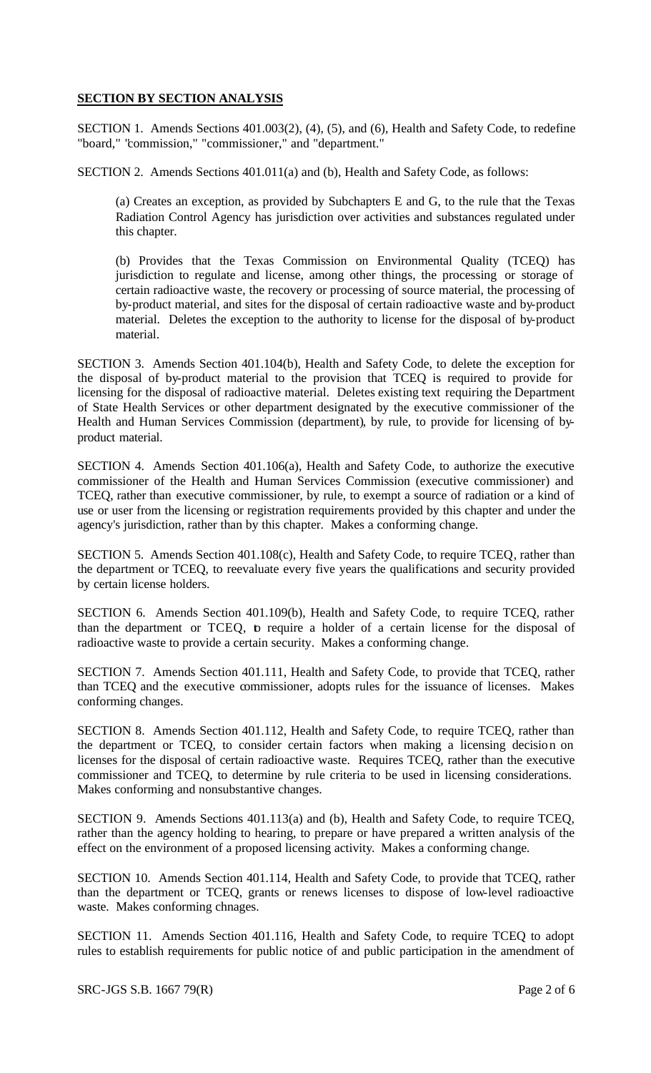## **SECTION BY SECTION ANALYSIS**

SECTION 1. Amends Sections 401.003(2), (4), (5), and (6), Health and Safety Code, to redefine "board," "commission," "commissioner," and "department."

SECTION 2. Amends Sections 401.011(a) and (b), Health and Safety Code, as follows:

(a) Creates an exception, as provided by Subchapters E and G, to the rule that the Texas Radiation Control Agency has jurisdiction over activities and substances regulated under this chapter.

(b) Provides that the Texas Commission on Environmental Quality (TCEQ) has jurisdiction to regulate and license, among other things, the processing or storage of certain radioactive waste, the recovery or processing of source material, the processing of by-product material, and sites for the disposal of certain radioactive waste and by-product material. Deletes the exception to the authority to license for the disposal of by-product material.

SECTION 3. Amends Section 401.104(b), Health and Safety Code, to delete the exception for the disposal of by-product material to the provision that TCEQ is required to provide for licensing for the disposal of radioactive material. Deletes existing text requiring the Department of State Health Services or other department designated by the executive commissioner of the Health and Human Services Commission (department), by rule, to provide for licensing of byproduct material.

SECTION 4. Amends Section 401.106(a), Health and Safety Code, to authorize the executive commissioner of the Health and Human Services Commission (executive commissioner) and TCEQ, rather than executive commissioner, by rule, to exempt a source of radiation or a kind of use or user from the licensing or registration requirements provided by this chapter and under the agency's jurisdiction, rather than by this chapter. Makes a conforming change.

SECTION 5. Amends Section 401.108(c), Health and Safety Code, to require TCEQ, rather than the department or TCEQ, to reevaluate every five years the qualifications and security provided by certain license holders.

SECTION 6. Amends Section 401.109(b), Health and Safety Code, to require TCEQ, rather than the department or TCEQ, to require a holder of a certain license for the disposal of radioactive waste to provide a certain security. Makes a conforming change.

SECTION 7. Amends Section 401.111, Health and Safety Code, to provide that TCEQ, rather than TCEQ and the executive commissioner, adopts rules for the issuance of licenses. Makes conforming changes.

SECTION 8. Amends Section 401.112, Health and Safety Code, to require TCEQ, rather than the department or TCEQ, to consider certain factors when making a licensing decision on licenses for the disposal of certain radioactive waste. Requires TCEQ, rather than the executive commissioner and TCEQ, to determine by rule criteria to be used in licensing considerations. Makes conforming and nonsubstantive changes.

SECTION 9. Amends Sections 401.113(a) and (b), Health and Safety Code, to require TCEQ, rather than the agency holding to hearing, to prepare or have prepared a written analysis of the effect on the environment of a proposed licensing activity. Makes a conforming change.

SECTION 10. Amends Section 401.114, Health and Safety Code, to provide that TCEQ, rather than the department or TCEQ, grants or renews licenses to dispose of low-level radioactive waste. Makes conforming chnages.

SECTION 11. Amends Section 401.116, Health and Safety Code, to require TCEQ to adopt rules to establish requirements for public notice of and public participation in the amendment of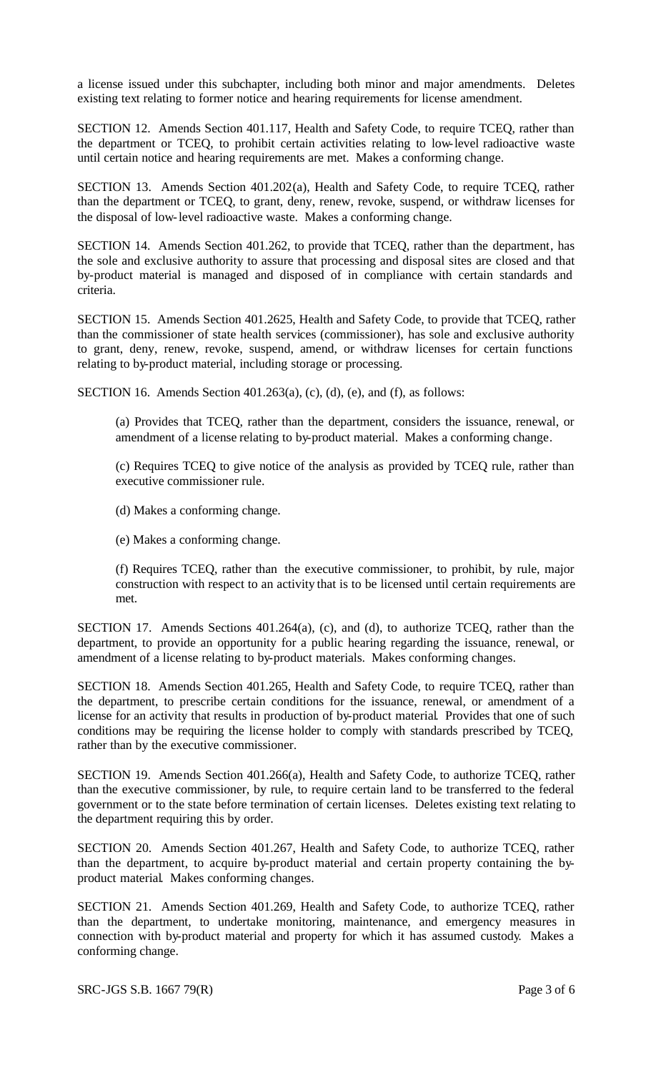a license issued under this subchapter, including both minor and major amendments. Deletes existing text relating to former notice and hearing requirements for license amendment.

SECTION 12. Amends Section 401.117, Health and Safety Code, to require TCEQ, rather than the department or TCEQ, to prohibit certain activities relating to low-level radioactive waste until certain notice and hearing requirements are met. Makes a conforming change.

SECTION 13. Amends Section 401.202(a), Health and Safety Code, to require TCEQ, rather than the department or TCEQ, to grant, deny, renew, revoke, suspend, or withdraw licenses for the disposal of low-level radioactive waste. Makes a conforming change.

SECTION 14. Amends Section 401.262, to provide that TCEQ, rather than the department, has the sole and exclusive authority to assure that processing and disposal sites are closed and that by-product material is managed and disposed of in compliance with certain standards and criteria.

SECTION 15. Amends Section 401.2625, Health and Safety Code, to provide that TCEQ, rather than the commissioner of state health services (commissioner), has sole and exclusive authority to grant, deny, renew, revoke, suspend, amend, or withdraw licenses for certain functions relating to by-product material, including storage or processing.

SECTION 16. Amends Section 401.263(a), (c), (d), (e), and (f), as follows:

(a) Provides that TCEQ, rather than the department, considers the issuance, renewal, or amendment of a license relating to by-product material. Makes a conforming change.

(c) Requires TCEQ to give notice of the analysis as provided by TCEQ rule, rather than executive commissioner rule.

(d) Makes a conforming change.

(e) Makes a conforming change.

(f) Requires TCEQ, rather than the executive commissioner, to prohibit, by rule, major construction with respect to an activity that is to be licensed until certain requirements are met.

SECTION 17. Amends Sections 401.264(a), (c), and (d), to authorize TCEQ, rather than the department, to provide an opportunity for a public hearing regarding the issuance, renewal, or amendment of a license relating to by-product materials. Makes conforming changes.

SECTION 18. Amends Section 401.265, Health and Safety Code, to require TCEQ, rather than the department, to prescribe certain conditions for the issuance, renewal, or amendment of a license for an activity that results in production of by-product material. Provides that one of such conditions may be requiring the license holder to comply with standards prescribed by TCEQ, rather than by the executive commissioner.

SECTION 19. Amends Section 401.266(a), Health and Safety Code, to authorize TCEQ, rather than the executive commissioner, by rule, to require certain land to be transferred to the federal government or to the state before termination of certain licenses. Deletes existing text relating to the department requiring this by order.

SECTION 20. Amends Section 401.267, Health and Safety Code, to authorize TCEQ, rather than the department, to acquire by-product material and certain property containing the byproduct material. Makes conforming changes.

SECTION 21. Amends Section 401.269, Health and Safety Code, to authorize TCEQ, rather than the department, to undertake monitoring, maintenance, and emergency measures in connection with by-product material and property for which it has assumed custody. Makes a conforming change.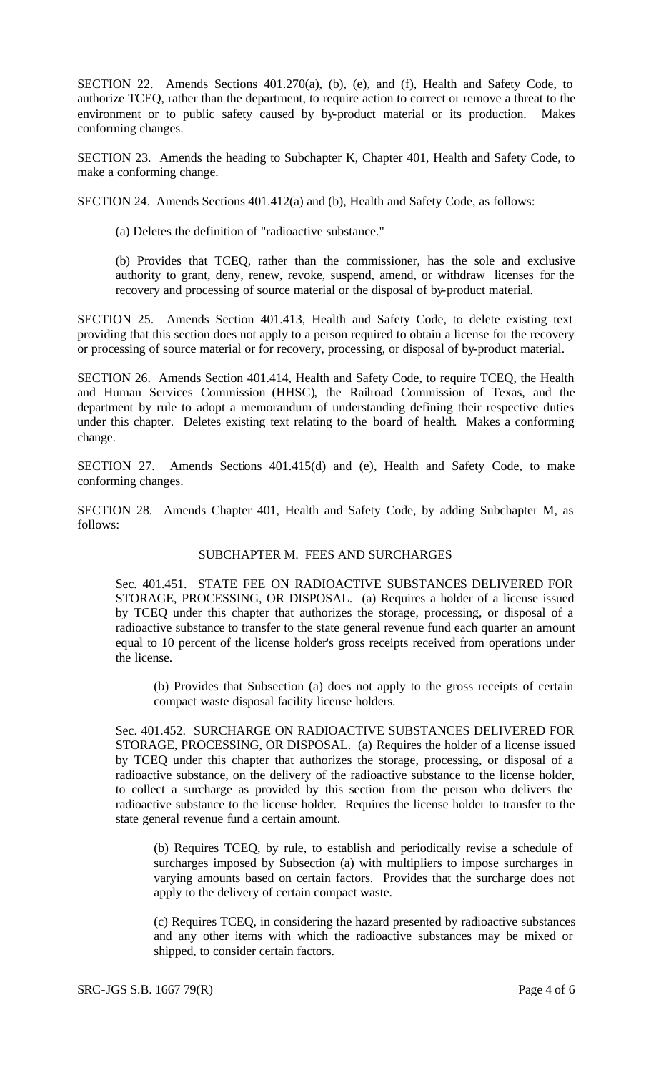SECTION 22. Amends Sections 401.270(a), (b), (e), and (f), Health and Safety Code, to authorize TCEQ, rather than the department, to require action to correct or remove a threat to the environment or to public safety caused by by-product material or its production. Makes conforming changes.

SECTION 23. Amends the heading to Subchapter K, Chapter 401, Health and Safety Code, to make a conforming change.

SECTION 24. Amends Sections 401.412(a) and (b), Health and Safety Code, as follows:

(a) Deletes the definition of "radioactive substance."

(b) Provides that TCEQ, rather than the commissioner, has the sole and exclusive authority to grant, deny, renew, revoke, suspend, amend, or withdraw licenses for the recovery and processing of source material or the disposal of by-product material.

SECTION 25. Amends Section 401.413, Health and Safety Code, to delete existing text providing that this section does not apply to a person required to obtain a license for the recovery or processing of source material or for recovery, processing, or disposal of by-product material.

SECTION 26. Amends Section 401.414, Health and Safety Code, to require TCEQ, the Health and Human Services Commission (HHSC), the Railroad Commission of Texas, and the department by rule to adopt a memorandum of understanding defining their respective duties under this chapter. Deletes existing text relating to the board of health. Makes a conforming change.

SECTION 27. Amends Sections 401.415(d) and (e), Health and Safety Code, to make conforming changes.

SECTION 28. Amends Chapter 401, Health and Safety Code, by adding Subchapter M, as follows:

#### SUBCHAPTER M. FEES AND SURCHARGES

Sec. 401.451. STATE FEE ON RADIOACTIVE SUBSTANCES DELIVERED FOR STORAGE, PROCESSING, OR DISPOSAL. (a) Requires a holder of a license issued by TCEQ under this chapter that authorizes the storage, processing, or disposal of a radioactive substance to transfer to the state general revenue fund each quarter an amount equal to 10 percent of the license holder's gross receipts received from operations under the license.

(b) Provides that Subsection (a) does not apply to the gross receipts of certain compact waste disposal facility license holders.

Sec. 401.452. SURCHARGE ON RADIOACTIVE SUBSTANCES DELIVERED FOR STORAGE, PROCESSING, OR DISPOSAL. (a) Requires the holder of a license issued by TCEQ under this chapter that authorizes the storage, processing, or disposal of a radioactive substance, on the delivery of the radioactive substance to the license holder, to collect a surcharge as provided by this section from the person who delivers the radioactive substance to the license holder. Requires the license holder to transfer to the state general revenue fund a certain amount.

(b) Requires TCEQ, by rule, to establish and periodically revise a schedule of surcharges imposed by Subsection (a) with multipliers to impose surcharges in varying amounts based on certain factors. Provides that the surcharge does not apply to the delivery of certain compact waste.

(c) Requires TCEQ, in considering the hazard presented by radioactive substances and any other items with which the radioactive substances may be mixed or shipped, to consider certain factors.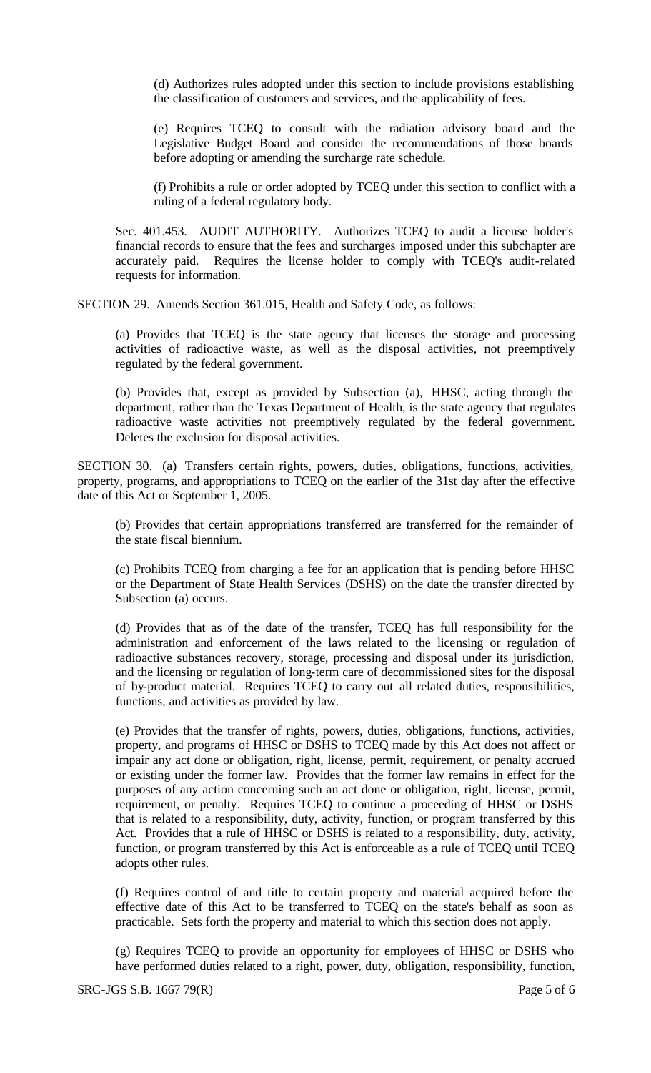(d) Authorizes rules adopted under this section to include provisions establishing the classification of customers and services, and the applicability of fees.

(e) Requires TCEQ to consult with the radiation advisory board and the Legislative Budget Board and consider the recommendations of those boards before adopting or amending the surcharge rate schedule.

(f) Prohibits a rule or order adopted by TCEQ under this section to conflict with a ruling of a federal regulatory body.

Sec. 401.453. AUDIT AUTHORITY. Authorizes TCEQ to audit a license holder's financial records to ensure that the fees and surcharges imposed under this subchapter are accurately paid. Requires the license holder to comply with TCEQ's audit-related requests for information.

SECTION 29. Amends Section 361.015, Health and Safety Code, as follows:

(a) Provides that TCEQ is the state agency that licenses the storage and processing activities of radioactive waste, as well as the disposal activities, not preemptively regulated by the federal government.

(b) Provides that, except as provided by Subsection (a), HHSC, acting through the department, rather than the Texas Department of Health, is the state agency that regulates radioactive waste activities not preemptively regulated by the federal government. Deletes the exclusion for disposal activities.

SECTION 30. (a) Transfers certain rights, powers, duties, obligations, functions, activities, property, programs, and appropriations to TCEQ on the earlier of the 31st day after the effective date of this Act or September 1, 2005.

(b) Provides that certain appropriations transferred are transferred for the remainder of the state fiscal biennium.

(c) Prohibits TCEQ from charging a fee for an application that is pending before HHSC or the Department of State Health Services (DSHS) on the date the transfer directed by Subsection (a) occurs.

(d) Provides that as of the date of the transfer, TCEQ has full responsibility for the administration and enforcement of the laws related to the licensing or regulation of radioactive substances recovery, storage, processing and disposal under its jurisdiction, and the licensing or regulation of long-term care of decommissioned sites for the disposal of by-product material. Requires TCEQ to carry out all related duties, responsibilities, functions, and activities as provided by law.

(e) Provides that the transfer of rights, powers, duties, obligations, functions, activities, property, and programs of HHSC or DSHS to TCEQ made by this Act does not affect or impair any act done or obligation, right, license, permit, requirement, or penalty accrued or existing under the former law. Provides that the former law remains in effect for the purposes of any action concerning such an act done or obligation, right, license, permit, requirement, or penalty. Requires TCEQ to continue a proceeding of HHSC or DSHS that is related to a responsibility, duty, activity, function, or program transferred by this Act. Provides that a rule of HHSC or DSHS is related to a responsibility, duty, activity, function, or program transferred by this Act is enforceable as a rule of TCEQ until TCEQ adopts other rules.

(f) Requires control of and title to certain property and material acquired before the effective date of this Act to be transferred to TCEQ on the state's behalf as soon as practicable. Sets forth the property and material to which this section does not apply.

(g) Requires TCEQ to provide an opportunity for employees of HHSC or DSHS who have performed duties related to a right, power, duty, obligation, responsibility, function,